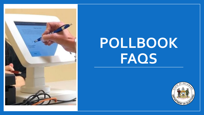

## **POLLBOOK FAQS**

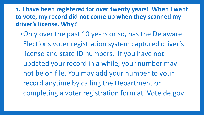**1. I have been registered for over twenty years! When I went to vote, my record did not come up when they scanned my driver's license. Why?**

•Only over the past 10 years or so, has the Delaware Elections voter registration system captured driver's license and state ID numbers. If you have not updated your record in a while, your number may not be on file. You may add your number to your record anytime by calling the Department or completing a voter registration form at iVote.de.gov.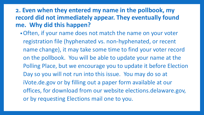## **2. Even when they entered my name in the pollbook, my record did not immediately appear. They eventually found me. Why did this happen?**

•Often, if your name does not match the name on your voter registration file (hyphenated vs. non-hyphenated, or recent name change), it may take some time to find your voter record on the pollbook. You will be able to update your name at the Polling Place, but we encourage you to update it before Election Day so you will not run into this issue. You may do so at iVote.de.gov or by filling out a paper form available at our offices, for download from our website elections.delaware.gov, or by requesting Elections mail one to you.